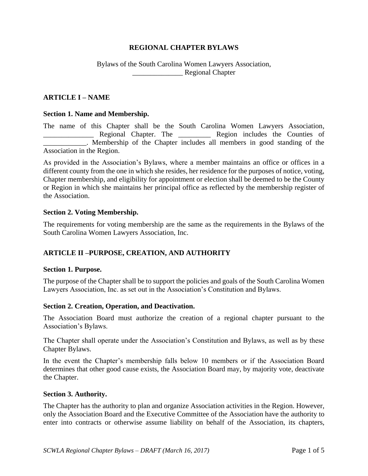# **REGIONAL CHAPTER BYLAWS**

# Bylaws of the South Carolina Women Lawyers Association, \_\_\_\_\_\_\_\_\_\_\_\_\_\_ Regional Chapter

### **ARTICLE I – NAME**

#### **Section 1. Name and Membership.**

The name of this Chapter shall be the South Carolina Women Lawyers Association, Regional Chapter. The **Region** includes the Counties of . Membership of the Chapter includes all members in good standing of the Association in the Region.

As provided in the Association's Bylaws, where a member maintains an office or offices in a different county from the one in which she resides, her residence for the purposes of notice, voting, Chapter membership, and eligibility for appointment or election shall be deemed to be the County or Region in which she maintains her principal office as reflected by the membership register of the Association.

#### **Section 2. Voting Membership.**

The requirements for voting membership are the same as the requirements in the Bylaws of the South Carolina Women Lawyers Association, Inc.

## **ARTICLE II –PURPOSE, CREATION, AND AUTHORITY**

#### **Section 1. Purpose.**

The purpose of the Chapter shall be to support the policies and goals of the South Carolina Women Lawyers Association, Inc. as set out in the Association's Constitution and Bylaws.

#### **Section 2. Creation, Operation, and Deactivation.**

The Association Board must authorize the creation of a regional chapter pursuant to the Association's Bylaws.

The Chapter shall operate under the Association's Constitution and Bylaws, as well as by these Chapter Bylaws.

In the event the Chapter's membership falls below 10 members or if the Association Board determines that other good cause exists, the Association Board may, by majority vote, deactivate the Chapter.

#### **Section 3. Authority.**

The Chapter has the authority to plan and organize Association activities in the Region. However, only the Association Board and the Executive Committee of the Association have the authority to enter into contracts or otherwise assume liability on behalf of the Association, its chapters,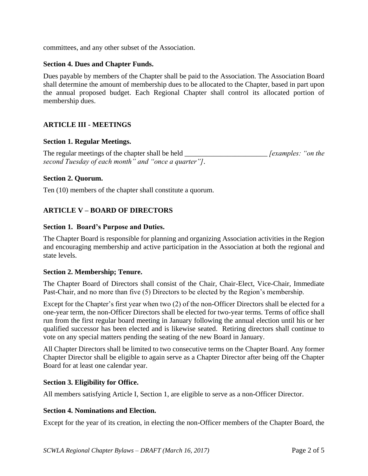committees, and any other subset of the Association.

## **Section 4. Dues and Chapter Funds.**

Dues payable by members of the Chapter shall be paid to the Association. The Association Board shall determine the amount of membership dues to be allocated to the Chapter, based in part upon the annual proposed budget. Each Regional Chapter shall control its allocated portion of membership dues.

# **ARTICLE III - MEETINGS**

### **Section 1. Regular Meetings.**

The regular meetings of the chapter shall be held *[examples: "on the fexamples: "on the second Tuesday of each month" and "once a quarter"]*.

### **Section 2. Quorum.**

Ten (10) members of the chapter shall constitute a quorum.

# **ARTICLE V – BOARD OF DIRECTORS**

### **Section 1. Board's Purpose and Duties.**

The Chapter Board is responsible for planning and organizing Association activities in the Region and encouraging membership and active participation in the Association at both the regional and state levels.

#### **Section 2. Membership; Tenure.**

The Chapter Board of Directors shall consist of the Chair, Chair-Elect, Vice-Chair, Immediate Past-Chair, and no more than five (5) Directors to be elected by the Region's membership.

Except for the Chapter's first year when two (2) of the non-Officer Directors shall be elected for a one-year term, the non-Officer Directors shall be elected for two-year terms. Terms of office shall run from the first regular board meeting in January following the annual election until his or her qualified successor has been elected and is likewise seated. Retiring directors shall continue to vote on any special matters pending the seating of the new Board in January.

All Chapter Directors shall be limited to two consecutive terms on the Chapter Board. Any former Chapter Director shall be eligible to again serve as a Chapter Director after being off the Chapter Board for at least one calendar year.

## **Section 3. Eligibility for Office.**

All members satisfying Article I, Section 1, are eligible to serve as a non-Officer Director.

#### **Section 4. Nominations and Election.**

Except for the year of its creation, in electing the non-Officer members of the Chapter Board, the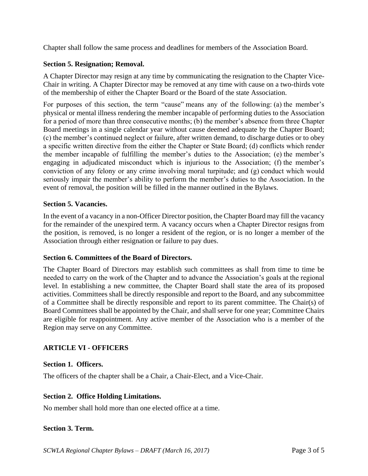Chapter shall follow the same process and deadlines for members of the Association Board.

# **Section 5. Resignation; Removal.**

A Chapter Director may resign at any time by communicating the resignation to the Chapter Vice-Chair in writing. A Chapter Director may be removed at any time with cause on a two-thirds vote of the membership of either the Chapter Board or the Board of the state Association.

For purposes of this section, the term "cause" means any of the following: (a) the member's physical or mental illness rendering the member incapable of performing duties to the Association for a period of more than three consecutive months; (b) the member's absence from three Chapter Board meetings in a single calendar year without cause deemed adequate by the Chapter Board; (c) the member's continued neglect or failure, after written demand, to discharge duties or to obey a specific written directive from the either the Chapter or State Board; (d) conflicts which render the member incapable of fulfilling the member's duties to the Association; (e) the member's engaging in adjudicated misconduct which is injurious to the Association; (f) the member's conviction of any felony or any crime involving moral turpitude; and (g) conduct which would seriously impair the member's ability to perform the member's duties to the Association. In the event of removal, the position will be filled in the manner outlined in the Bylaws.

## **Section 5. Vacancies.**

In the event of a vacancy in a non-Officer Director position, the Chapter Board may fill the vacancy for the remainder of the unexpired term. A vacancy occurs when a Chapter Director resigns from the position, is removed, is no longer a resident of the region, or is no longer a member of the Association through either resignation or failure to pay dues.

## **Section 6. Committees of the Board of Directors.**

The Chapter Board of Directors may establish such committees as shall from time to time be needed to carry on the work of the Chapter and to advance the Association's goals at the regional level. In establishing a new committee, the Chapter Board shall state the area of its proposed activities. Committees shall be directly responsible and report to the Board, and any subcommittee of a Committee shall be directly responsible and report to its parent committee. The Chair(s) of Board Committees shall be appointed by the Chair, and shall serve for one year; Committee Chairs are eligible for reappointment. Any active member of the Association who is a member of the Region may serve on any Committee.

## **ARTICLE VI - OFFICERS**

## **Section 1. Officers.**

The officers of the chapter shall be a Chair, a Chair-Elect, and a Vice-Chair.

## **Section 2. Office Holding Limitations.**

No member shall hold more than one elected office at a time.

## **Section 3. Term.**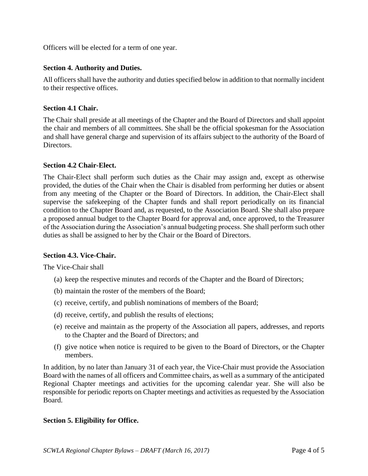Officers will be elected for a term of one year.

# **Section 4. Authority and Duties.**

All officers shall have the authority and duties specified below in addition to that normally incident to their respective offices.

# **Section 4.1 Chair.**

The Chair shall preside at all meetings of the Chapter and the Board of Directors and shall appoint the chair and members of all committees. She shall be the official spokesman for the Association and shall have general charge and supervision of its affairs subject to the authority of the Board of Directors.

# **Section 4.2 Chair-Elect.**

The Chair-Elect shall perform such duties as the Chair may assign and, except as otherwise provided, the duties of the Chair when the Chair is disabled from performing her duties or absent from any meeting of the Chapter or the Board of Directors. In addition, the Chair-Elect shall supervise the safekeeping of the Chapter funds and shall report periodically on its financial condition to the Chapter Board and, as requested, to the Association Board. She shall also prepare a proposed annual budget to the Chapter Board for approval and, once approved, to the Treasurer of the Association during the Association's annual budgeting process. She shall perform such other duties as shall be assigned to her by the Chair or the Board of Directors.

## **Section 4.3. Vice-Chair.**

The Vice-Chair shall

- (a) keep the respective minutes and records of the Chapter and the Board of Directors;
- (b) maintain the roster of the members of the Board;
- (c) receive, certify, and publish nominations of members of the Board;
- (d) receive, certify, and publish the results of elections;
- (e) receive and maintain as the property of the Association all papers, addresses, and reports to the Chapter and the Board of Directors; and
- (f) give notice when notice is required to be given to the Board of Directors, or the Chapter members.

In addition, by no later than January 31 of each year, the Vice-Chair must provide the Association Board with the names of all officers and Committee chairs, as well as a summary of the anticipated Regional Chapter meetings and activities for the upcoming calendar year. She will also be responsible for periodic reports on Chapter meetings and activities as requested by the Association Board.

## **Section 5. Eligibility for Office.**